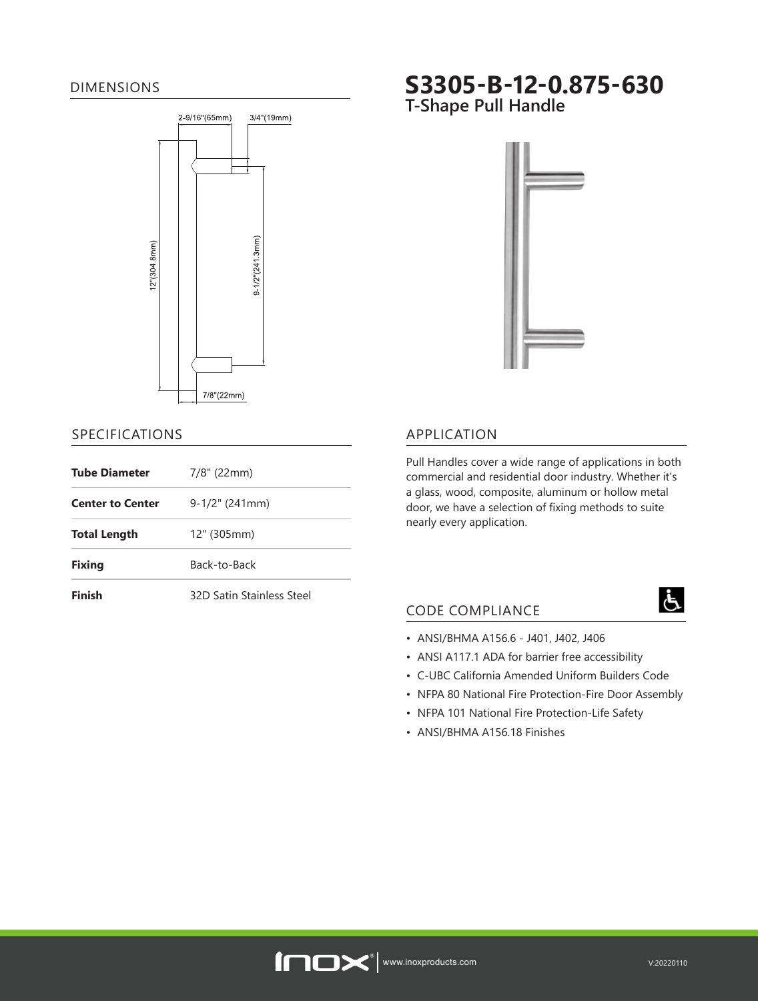### DIMENSIONS



### SPECIFICATIONS

| <b>Tube Diameter</b>    | $7/8$ " (22mm)            |
|-------------------------|---------------------------|
| <b>Center to Center</b> | $9-1/2$ " (241mm)         |
| <b>Total Length</b>     | 12" (305mm)               |
| <b>Fixing</b>           | Back-to-Back              |
| Finish                  | 32D Satin Stainless Steel |

# **S3305-B-12-0.875-630**

**T-Shape Pull Handle** 



# APPLICATION

Pull Handles cover a wide range of applications in both commercial and residential door industry. Whether it's a glass, wood, composite, aluminum or hollow metal door, we have a selection of fixing methods to suite nearly every application.

# CODE COMPLIANCE

- ANSI/BHMA A156.6 J401, J402, J406
- ANSI A117.1 ADA for barrier free accessibility
- C-UBC California Amended Uniform Builders Code
- NFPA 80 National Fire Protection-Fire Door Assembly
- NFPA 101 National Fire Protection-Life Safety
- ANSI/BHMA A156.18 Finishes



Ġ